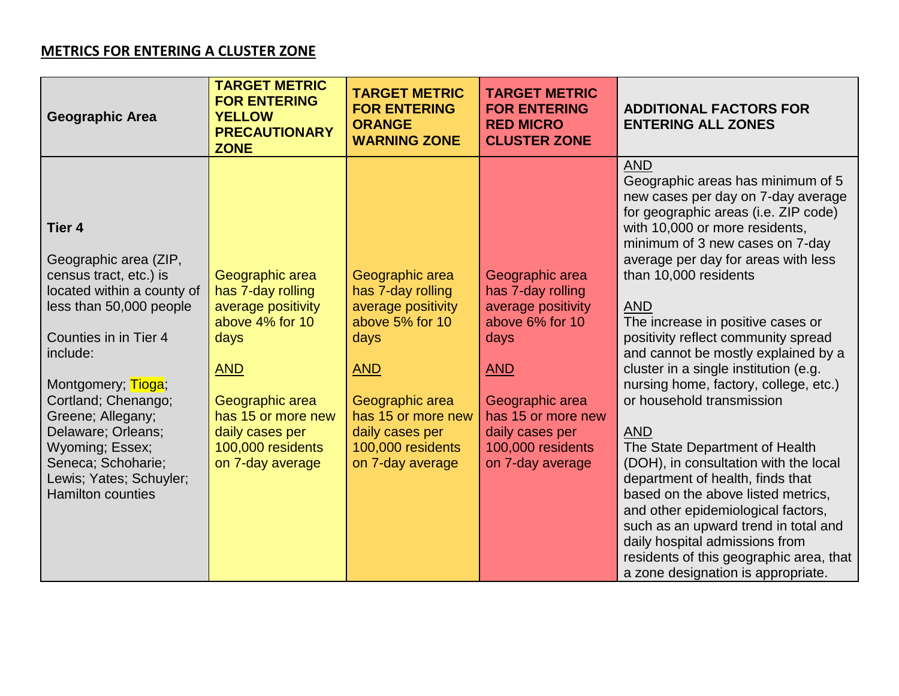## **METRICS FOR ENTERING A CLUSTER ZONE**

| <b>Geographic Area</b>                                                                                                                                                                                                                                                                                                                                 | <b>TARGET METRIC</b><br><b>FOR ENTERING</b><br><b>YELLOW</b><br><b>PRECAUTIONARY</b><br><b>ZONE</b>                                                                                                      | <b>TARGET METRIC</b><br><b>FOR ENTERING</b><br><b>ORANGE</b><br><b>WARNING ZONE</b>                                                                                                                      | <b>TARGET METRIC</b><br><b>FOR ENTERING</b><br><b>RED MICRO</b><br><b>CLUSTER ZONE</b>                                                                                                                   | <b>ADDITIONAL FACTORS FOR</b><br><b>ENTERING ALL ZONES</b>                                                                                                                                                                                                                                                                                                                                                                                                                                                                                                                                                                                                                                                                                                                                                                                                                             |
|--------------------------------------------------------------------------------------------------------------------------------------------------------------------------------------------------------------------------------------------------------------------------------------------------------------------------------------------------------|----------------------------------------------------------------------------------------------------------------------------------------------------------------------------------------------------------|----------------------------------------------------------------------------------------------------------------------------------------------------------------------------------------------------------|----------------------------------------------------------------------------------------------------------------------------------------------------------------------------------------------------------|----------------------------------------------------------------------------------------------------------------------------------------------------------------------------------------------------------------------------------------------------------------------------------------------------------------------------------------------------------------------------------------------------------------------------------------------------------------------------------------------------------------------------------------------------------------------------------------------------------------------------------------------------------------------------------------------------------------------------------------------------------------------------------------------------------------------------------------------------------------------------------------|
| <b>Tier 4</b><br>Geographic area (ZIP,<br>census tract, etc.) is<br>located within a county of<br>less than 50,000 people<br>Counties in in Tier 4<br>include:<br>Montgomery; Tioga;<br>Cortland; Chenango;<br>Greene; Allegany;<br>Delaware; Orleans;<br>Wyoming; Essex;<br>Seneca; Schoharie;<br>Lewis; Yates; Schuyler;<br><b>Hamilton counties</b> | Geographic area<br>has 7-day rolling<br>average positivity<br>above 4% for 10<br>days<br><b>AND</b><br>Geographic area<br>has 15 or more new<br>daily cases per<br>100,000 residents<br>on 7-day average | Geographic area<br>has 7-day rolling<br>average positivity<br>above 5% for 10<br>days<br><b>AND</b><br>Geographic area<br>has 15 or more new<br>daily cases per<br>100,000 residents<br>on 7-day average | Geographic area<br>has 7-day rolling<br>average positivity<br>above 6% for 10<br>days<br><b>AND</b><br>Geographic area<br>has 15 or more new<br>daily cases per<br>100,000 residents<br>on 7-day average | <b>AND</b><br>Geographic areas has minimum of 5<br>new cases per day on 7-day average<br>for geographic areas (i.e. ZIP code)<br>with 10,000 or more residents,<br>minimum of 3 new cases on 7-day<br>average per day for areas with less<br>than 10,000 residents<br><b>AND</b><br>The increase in positive cases or<br>positivity reflect community spread<br>and cannot be mostly explained by a<br>cluster in a single institution (e.g.<br>nursing home, factory, college, etc.)<br>or household transmission<br><b>AND</b><br>The State Department of Health<br>(DOH), in consultation with the local<br>department of health, finds that<br>based on the above listed metrics,<br>and other epidemiological factors,<br>such as an upward trend in total and<br>daily hospital admissions from<br>residents of this geographic area, that<br>a zone designation is appropriate. |